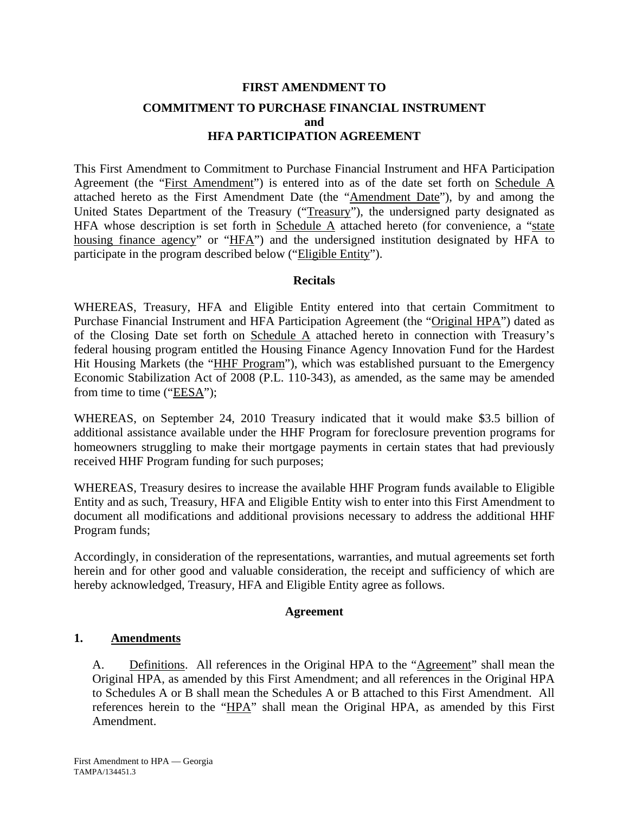# **FIRST AMENDMENT TO COMMITMENT TO PURCHASE FINANCIAL INSTRUMENT and HFA PARTICIPATION AGREEMENT**

This First Amendment to Commitment to Purchase Financial Instrument and HFA Participation Agreement (the "First Amendment") is entered into as of the date set forth on Schedule A attached hereto as the First Amendment Date (the "Amendment Date"), by and among the United States Department of the Treasury ("Treasury"), the undersigned party designated as HFA whose description is set forth in Schedule  $\overline{A}$  attached hereto (for convenience, a "state housing finance agency" or "HFA") and the undersigned institution designated by HFA to participate in the program described below ("Eligible Entity").

## **Recitals**

WHEREAS, Treasury, HFA and Eligible Entity entered into that certain Commitment to Purchase Financial Instrument and HFA Participation Agreement (the "Original HPA") dated as of the Closing Date set forth on Schedule A attached hereto in connection with Treasury's federal housing program entitled the Housing Finance Agency Innovation Fund for the Hardest Hit Housing Markets (the "HHF Program"), which was established pursuant to the Emergency Economic Stabilization Act of 2008 (P.L. 110-343), as amended, as the same may be amended from time to time ("EESA");

WHEREAS, on September 24, 2010 Treasury indicated that it would make \$3.5 billion of additional assistance available under the HHF Program for foreclosure prevention programs for homeowners struggling to make their mortgage payments in certain states that had previously received HHF Program funding for such purposes;

WHEREAS, Treasury desires to increase the available HHF Program funds available to Eligible Entity and as such, Treasury, HFA and Eligible Entity wish to enter into this First Amendment to document all modifications and additional provisions necessary to address the additional HHF Program funds;

Accordingly, in consideration of the representations, warranties, and mutual agreements set forth herein and for other good and valuable consideration, the receipt and sufficiency of which are hereby acknowledged, Treasury, HFA and Eligible Entity agree as follows.

## **Agreement**

# **1. Amendments**

A. Definitions. All references in the Original HPA to the "Agreement" shall mean the Original HPA, as amended by this First Amendment; and all references in the Original HPA to Schedules A or B shall mean the Schedules A or B attached to this First Amendment. All references herein to the "HPA" shall mean the Original HPA, as amended by this First Amendment.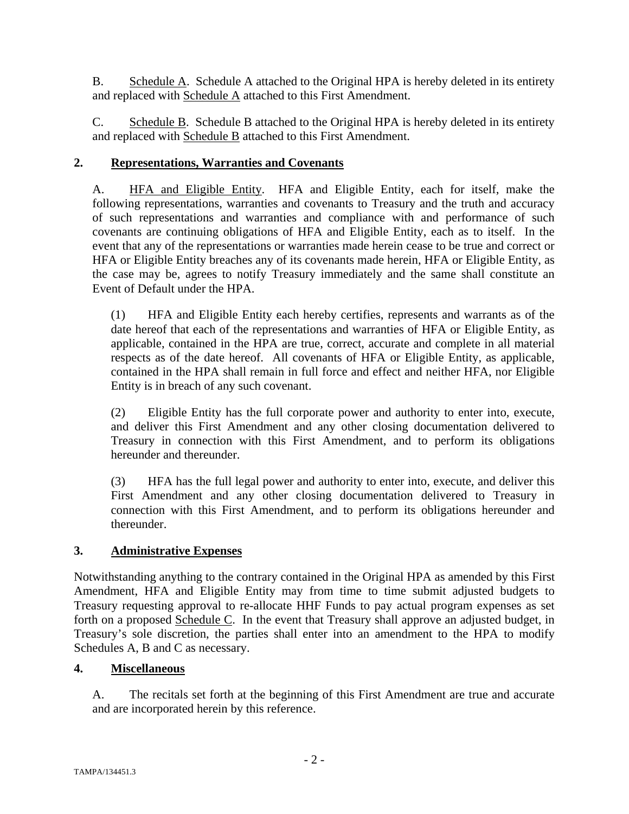B. Schedule A. Schedule A attached to the Original HPA is hereby deleted in its entirety and replaced with Schedule A attached to this First Amendment.

C. Schedule B. Schedule B attached to the Original HPA is hereby deleted in its entirety and replaced with **Schedule B** attached to this First Amendment.

# **2. Representations, Warranties and Covenants**

A. HFA and Eligible Entity. HFA and Eligible Entity, each for itself, make the following representations, warranties and covenants to Treasury and the truth and accuracy of such representations and warranties and compliance with and performance of such covenants are continuing obligations of HFA and Eligible Entity, each as to itself. In the event that any of the representations or warranties made herein cease to be true and correct or HFA or Eligible Entity breaches any of its covenants made herein, HFA or Eligible Entity, as the case may be, agrees to notify Treasury immediately and the same shall constitute an Event of Default under the HPA.

(1) HFA and Eligible Entity each hereby certifies, represents and warrants as of the date hereof that each of the representations and warranties of HFA or Eligible Entity, as applicable, contained in the HPA are true, correct, accurate and complete in all material respects as of the date hereof. All covenants of HFA or Eligible Entity, as applicable, contained in the HPA shall remain in full force and effect and neither HFA, nor Eligible Entity is in breach of any such covenant.

(2) Eligible Entity has the full corporate power and authority to enter into, execute, and deliver this First Amendment and any other closing documentation delivered to Treasury in connection with this First Amendment, and to perform its obligations hereunder and thereunder.

(3) HFA has the full legal power and authority to enter into, execute, and deliver this First Amendment and any other closing documentation delivered to Treasury in connection with this First Amendment, and to perform its obligations hereunder and thereunder.

# **3. Administrative Expenses**

Notwithstanding anything to the contrary contained in the Original HPA as amended by this First Amendment, HFA and Eligible Entity may from time to time submit adjusted budgets to Treasury requesting approval to re-allocate HHF Funds to pay actual program expenses as set forth on a proposed Schedule C. In the event that Treasury shall approve an adjusted budget, in Treasury's sole discretion, the parties shall enter into an amendment to the HPA to modify Schedules A, B and C as necessary.

# **4. Miscellaneous**

A. The recitals set forth at the beginning of this First Amendment are true and accurate and are incorporated herein by this reference.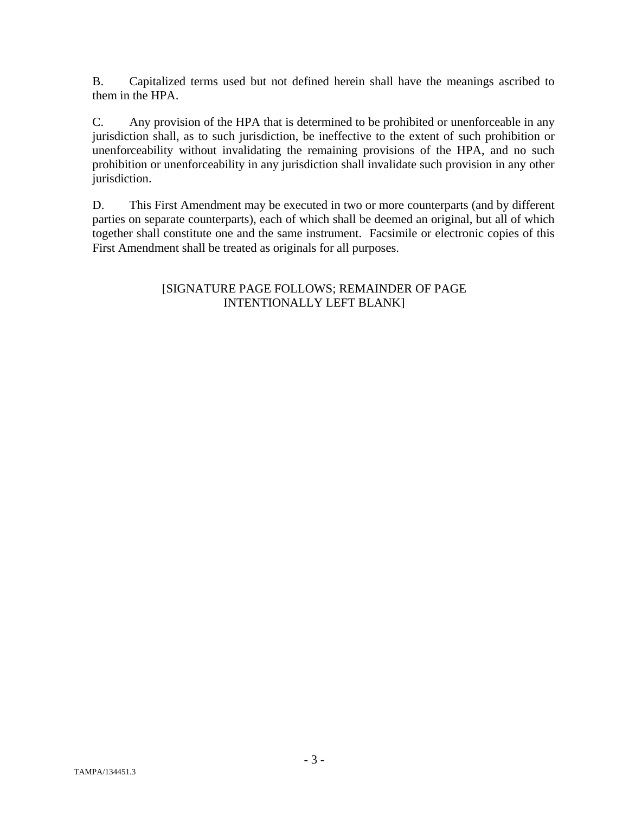B. Capitalized terms used but not defined herein shall have the meanings ascribed to them in the HPA.

C. Any provision of the HPA that is determined to be prohibited or unenforceable in any jurisdiction shall, as to such jurisdiction, be ineffective to the extent of such prohibition or unenforceability without invalidating the remaining provisions of the HPA, and no such prohibition or unenforceability in any jurisdiction shall invalidate such provision in any other jurisdiction.

D. This First Amendment may be executed in two or more counterparts (and by different parties on separate counterparts), each of which shall be deemed an original, but all of which together shall constitute one and the same instrument. Facsimile or electronic copies of this First Amendment shall be treated as originals for all purposes.

# [SIGNATURE PAGE FOLLOWS; REMAINDER OF PAGE INTENTIONALLY LEFT BLANK]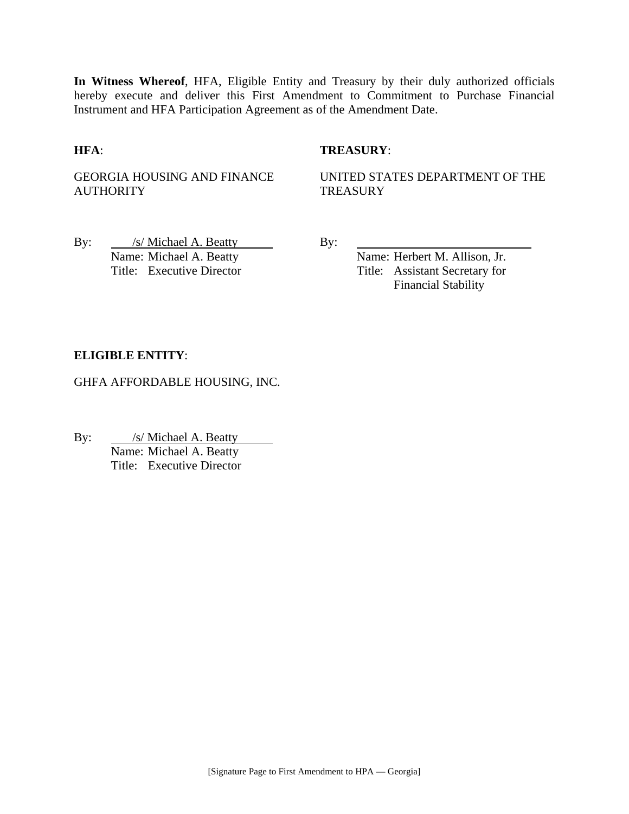**In Witness Whereof**, HFA, Eligible Entity and Treasury by their duly authorized officials hereby execute and deliver this First Amendment to Commitment to Purchase Financial Instrument and HFA Participation Agreement as of the Amendment Date.

## **HFA**: **TREASURY**:

GEORGIA HOUSING AND FINANCE **AUTHORITY** 

UNITED STATES DEPARTMENT OF THE **TREASURY** 

By: /s/ Michael A. Beatty By: Name: Michael A. Beatty Name: Herbert M. Allison, Jr.

Title: Executive Director Title: Assistant Secretary for Financial Stability

## **ELIGIBLE ENTITY**:

GHFA AFFORDABLE HOUSING, INC.

By: <u>/s/ Michael A. Beatty</u> Name: Michael A. Beatty Title: Executive Director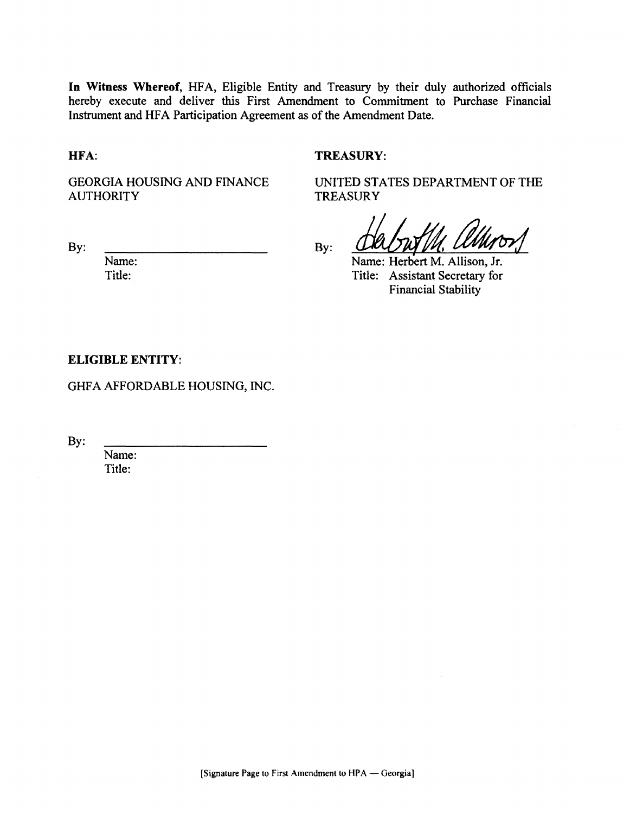In Witness Whereof, HFA, Eligible Entity and Treasury by their duly authorized officials hereby execute and deliver this First Amendment to Commitment to Purchase Financial Instrument and HFA Participation Agreement as of the Amendment Date.

HFA:

## **TREASURY:**

**TREASURY** 

**GEORGIA HOUSING AND FINANCE AUTHORITY** 

UNITED STATES DEPARTMENT OF THE

By:

Name: Title:

By:

Name: Herbert M. Allison, Jr. Title: Assistant Secretary for **Financial Stability** 

#### **ELIGIBLE ENTITY:**

GHFA AFFORDABLE HOUSING, INC.

 $By:$ 

Name: Title: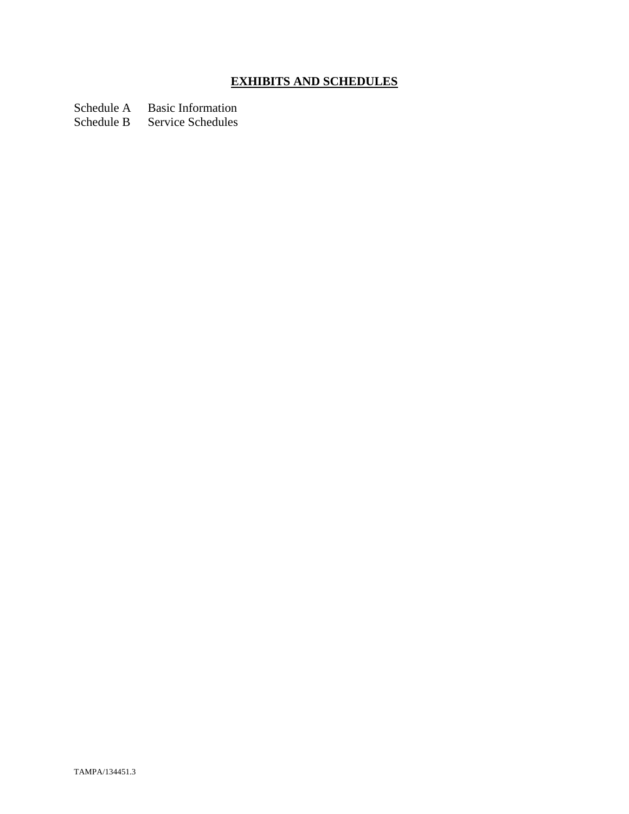# **EXHIBITS AND SCHEDULES**

Schedule A Basic Information

Schedule B Service Schedules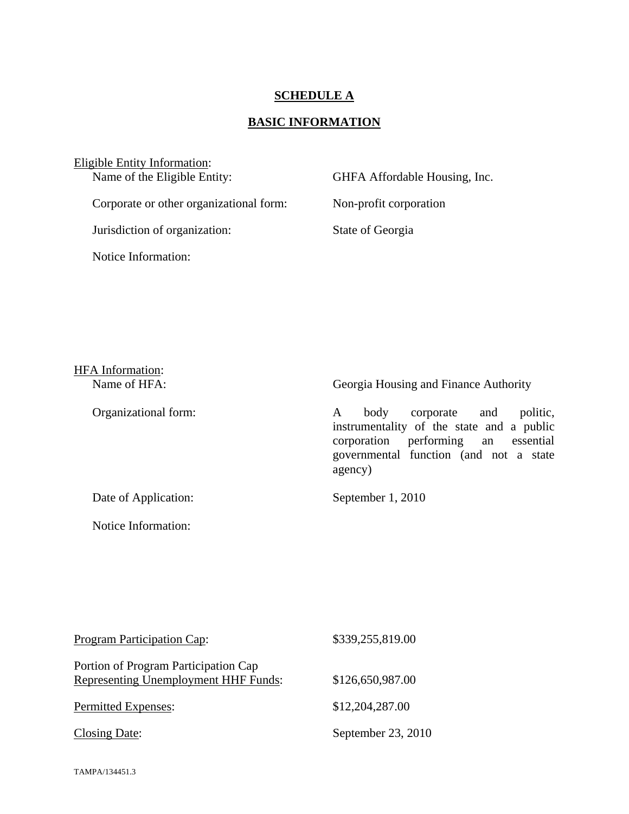## **SCHEDULE A**

# **BASIC INFORMATION**

Eligible Entity Information:<br>Name of the Eligible Entity: GHFA Affordable Housing, Inc. Corporate or other organizational form: Non-profit corporation Jurisdiction of organization: State of Georgia Notice Information:

| <b>HFA</b> Information: |                                                                                                                                                                                    |
|-------------------------|------------------------------------------------------------------------------------------------------------------------------------------------------------------------------------|
| Name of HFA:            | Georgia Housing and Finance Authority                                                                                                                                              |
| Organizational form:    | politic,<br>corporate and<br>body<br>A<br>instrumentality of the state and a public<br>performing an essential<br>corporation<br>governmental function (and not a state<br>agency) |
| Date of Application:    | September 1, 2010                                                                                                                                                                  |

| Program Participation Cap:                                                   | \$339,255,819.00   |
|------------------------------------------------------------------------------|--------------------|
| Portion of Program Participation Cap<br>Representing Unemployment HHF Funds: | \$126,650,987.00   |
| Permitted Expenses:                                                          | \$12,204,287.00    |
| Closing Date:                                                                | September 23, 2010 |

Notice Information: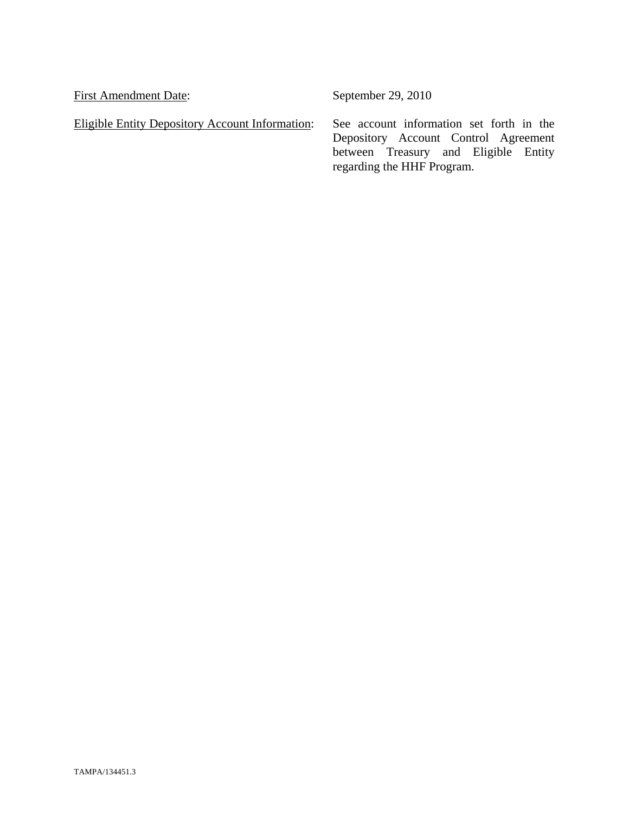First Amendment Date: September 29, 2010

Eligible Entity Depository Account Information: See account information set forth in the

Depository Account Control Agreement between Treasury and Eligible Entity regarding the HHF Program.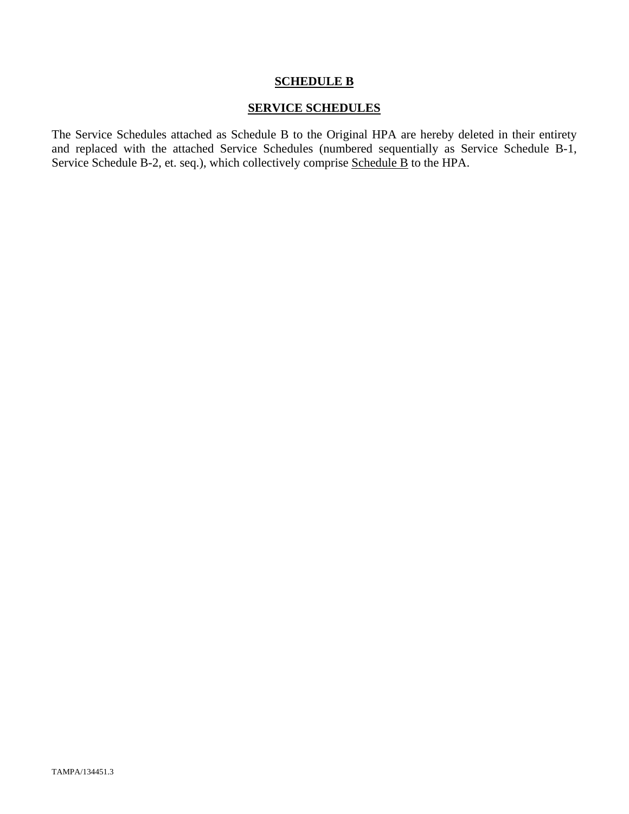### **SCHEDULE B**

## **SERVICE SCHEDULES**

The Service Schedules attached as Schedule B to the Original HPA are hereby deleted in their entirety and replaced with the attached Service Schedules (numbered sequentially as Service Schedule B-1, Service Schedule B-2, et. seq.), which collectively comprise Schedule B to the HPA.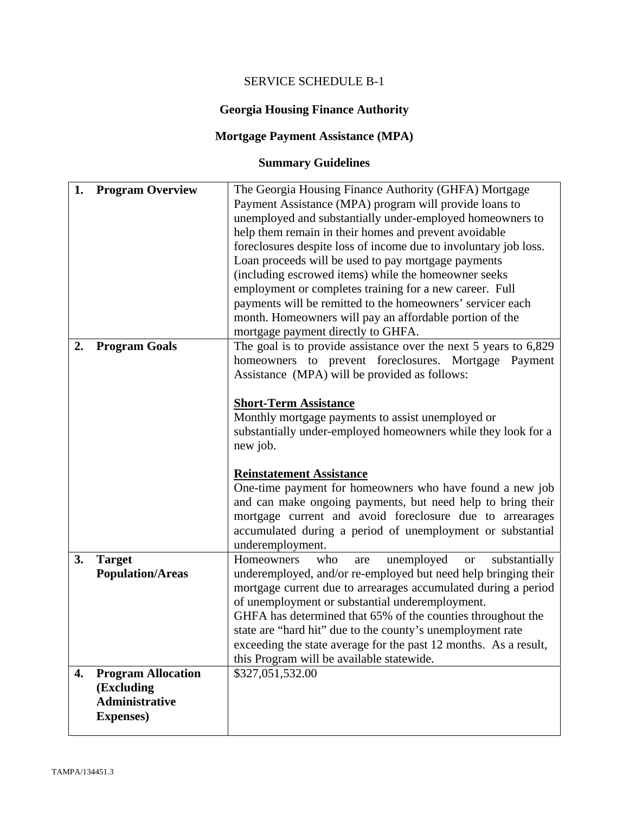# SERVICE SCHEDULE B-1

# **Georgia Housing Finance Authority**

# **Mortgage Payment Assistance (MPA)**

# **Summary Guidelines**

| 1. | <b>Program Overview</b>                                                               | The Georgia Housing Finance Authority (GHFA) Mortgage<br>Payment Assistance (MPA) program will provide loans to<br>unemployed and substantially under-employed homeowners to<br>help them remain in their homes and prevent avoidable<br>foreclosures despite loss of income due to involuntary job loss.<br>Loan proceeds will be used to pay mortgage payments<br>(including escrowed items) while the homeowner seeks<br>employment or completes training for a new career. Full<br>payments will be remitted to the homeowners' servicer each<br>month. Homeowners will pay an affordable portion of the                                                                                      |
|----|---------------------------------------------------------------------------------------|---------------------------------------------------------------------------------------------------------------------------------------------------------------------------------------------------------------------------------------------------------------------------------------------------------------------------------------------------------------------------------------------------------------------------------------------------------------------------------------------------------------------------------------------------------------------------------------------------------------------------------------------------------------------------------------------------|
| 2. | <b>Program Goals</b>                                                                  | mortgage payment directly to GHFA.<br>The goal is to provide assistance over the next $5$ years to $6,829$<br>homeowners to prevent foreclosures. Mortgage Payment<br>Assistance (MPA) will be provided as follows:<br><b>Short-Term Assistance</b><br>Monthly mortgage payments to assist unemployed or<br>substantially under-employed homeowners while they look for a<br>new job.<br><b>Reinstatement Assistance</b><br>One-time payment for homeowners who have found a new job<br>and can make ongoing payments, but need help to bring their<br>mortgage current and avoid foreclosure due to arrearages<br>accumulated during a period of unemployment or substantial<br>underemployment. |
| 3. | <b>Target</b><br><b>Population/Areas</b>                                              | unemployed<br>Homeowners<br>who<br>substantially<br>are<br><b>or</b><br>underemployed, and/or re-employed but need help bringing their<br>mortgage current due to arrearages accumulated during a period<br>of unemployment or substantial underemployment.<br>GHFA has determined that 65% of the counties throughout the<br>state are "hard hit" due to the county's unemployment rate<br>exceeding the state average for the past 12 months. As a result,<br>this Program will be available statewide.                                                                                                                                                                                         |
| 4. | <b>Program Allocation</b><br>(Excluding<br><b>Administrative</b><br><b>Expenses</b> ) | \$327,051,532.00                                                                                                                                                                                                                                                                                                                                                                                                                                                                                                                                                                                                                                                                                  |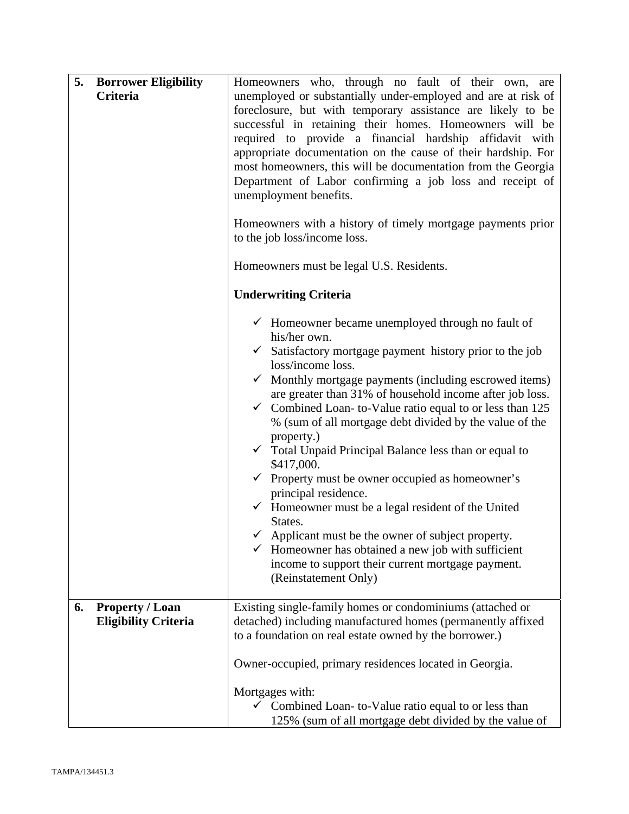| 5.<br><b>Borrower Eligibility</b>                           | Homeowners who, through no fault of their own, are                                                                                                                                                                                                                                                                                                                                                                                                                                                                                                                                                                                                                                                                                                                                                                                                                                                                             |
|-------------------------------------------------------------|--------------------------------------------------------------------------------------------------------------------------------------------------------------------------------------------------------------------------------------------------------------------------------------------------------------------------------------------------------------------------------------------------------------------------------------------------------------------------------------------------------------------------------------------------------------------------------------------------------------------------------------------------------------------------------------------------------------------------------------------------------------------------------------------------------------------------------------------------------------------------------------------------------------------------------|
| <b>Criteria</b>                                             | unemployed or substantially under-employed and are at risk of<br>foreclosure, but with temporary assistance are likely to be<br>successful in retaining their homes. Homeowners will be<br>required to provide a financial hardship affidavit with<br>appropriate documentation on the cause of their hardship. For<br>most homeowners, this will be documentation from the Georgia<br>Department of Labor confirming a job loss and receipt of<br>unemployment benefits.<br>Homeowners with a history of timely mortgage payments prior                                                                                                                                                                                                                                                                                                                                                                                       |
|                                                             | to the job loss/income loss.<br>Homeowners must be legal U.S. Residents.                                                                                                                                                                                                                                                                                                                                                                                                                                                                                                                                                                                                                                                                                                                                                                                                                                                       |
|                                                             | <b>Underwriting Criteria</b>                                                                                                                                                                                                                                                                                                                                                                                                                                                                                                                                                                                                                                                                                                                                                                                                                                                                                                   |
|                                                             | $\checkmark$ Homeowner became unemployed through no fault of<br>his/her own.<br>$\checkmark$ Satisfactory mortgage payment history prior to the job<br>loss/income loss.<br>$\checkmark$ Monthly mortgage payments (including escrowed items)<br>are greater than 31% of household income after job loss.<br>$\checkmark$ Combined Loan-to-Value ratio equal to or less than 125<br>% (sum of all mortgage debt divided by the value of the<br>property.)<br>$\checkmark$ Total Unpaid Principal Balance less than or equal to<br>\$417,000.<br>$\checkmark$ Property must be owner occupied as homeowner's<br>principal residence.<br>$\checkmark$ Homeowner must be a legal resident of the United<br>States.<br>$\checkmark$ Applicant must be the owner of subject property.<br>$\checkmark$ Homeowner has obtained a new job with sufficient<br>income to support their current mortgage payment.<br>(Reinstatement Only) |
| <b>Property / Loan</b><br>6.<br><b>Eligibility Criteria</b> | Existing single-family homes or condominiums (attached or<br>detached) including manufactured homes (permanently affixed<br>to a foundation on real estate owned by the borrower.)                                                                                                                                                                                                                                                                                                                                                                                                                                                                                                                                                                                                                                                                                                                                             |
|                                                             | Owner-occupied, primary residences located in Georgia.<br>Mortgages with:                                                                                                                                                                                                                                                                                                                                                                                                                                                                                                                                                                                                                                                                                                                                                                                                                                                      |
|                                                             | $\checkmark$ Combined Loan-to-Value ratio equal to or less than<br>125% (sum of all mortgage debt divided by the value of                                                                                                                                                                                                                                                                                                                                                                                                                                                                                                                                                                                                                                                                                                                                                                                                      |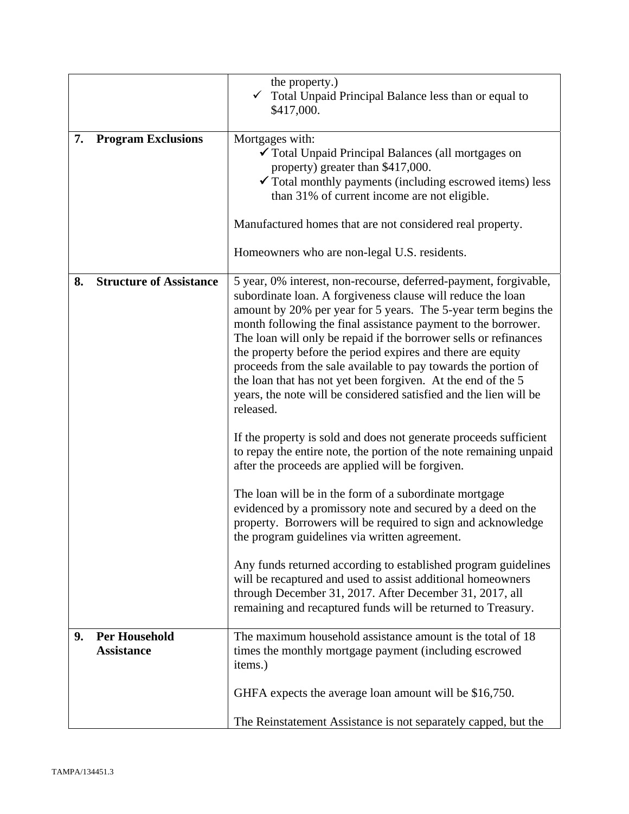|    |                                           | the property.)<br>Total Unpaid Principal Balance less than or equal to<br>\$417,000.                                                                                                                                                                                                                                                                                                                                                                                                                                                                                                                                      |
|----|-------------------------------------------|---------------------------------------------------------------------------------------------------------------------------------------------------------------------------------------------------------------------------------------------------------------------------------------------------------------------------------------------------------------------------------------------------------------------------------------------------------------------------------------------------------------------------------------------------------------------------------------------------------------------------|
| 7. | <b>Program Exclusions</b>                 | Mortgages with:<br>✔ Total Unpaid Principal Balances (all mortgages on<br>property) greater than \$417,000.<br>$\checkmark$ Total monthly payments (including escrowed items) less<br>than 31% of current income are not eligible.                                                                                                                                                                                                                                                                                                                                                                                        |
|    |                                           | Manufactured homes that are not considered real property.                                                                                                                                                                                                                                                                                                                                                                                                                                                                                                                                                                 |
|    |                                           | Homeowners who are non-legal U.S. residents.                                                                                                                                                                                                                                                                                                                                                                                                                                                                                                                                                                              |
| 8. | <b>Structure of Assistance</b>            | 5 year, 0% interest, non-recourse, deferred-payment, forgivable,<br>subordinate loan. A forgiveness clause will reduce the loan<br>amount by 20% per year for 5 years. The 5-year term begins the<br>month following the final assistance payment to the borrower.<br>The loan will only be repaid if the borrower sells or refinances<br>the property before the period expires and there are equity<br>proceeds from the sale available to pay towards the portion of<br>the loan that has not yet been forgiven. At the end of the 5<br>years, the note will be considered satisfied and the lien will be<br>released. |
|    |                                           | If the property is sold and does not generate proceeds sufficient<br>to repay the entire note, the portion of the note remaining unpaid<br>after the proceeds are applied will be forgiven.                                                                                                                                                                                                                                                                                                                                                                                                                               |
|    |                                           | The loan will be in the form of a subordinate mortgage<br>evidenced by a promissory note and secured by a deed on the<br>property. Borrowers will be required to sign and acknowledge<br>the program guidelines via written agreement.                                                                                                                                                                                                                                                                                                                                                                                    |
|    |                                           | Any funds returned according to established program guidelines<br>will be recaptured and used to assist additional homeowners<br>through December 31, 2017. After December 31, 2017, all<br>remaining and recaptured funds will be returned to Treasury.                                                                                                                                                                                                                                                                                                                                                                  |
| 9. | <b>Per Household</b><br><b>Assistance</b> | The maximum household assistance amount is the total of 18<br>times the monthly mortgage payment (including escrowed<br>items.)                                                                                                                                                                                                                                                                                                                                                                                                                                                                                           |
|    |                                           | GHFA expects the average loan amount will be \$16,750.                                                                                                                                                                                                                                                                                                                                                                                                                                                                                                                                                                    |
|    |                                           | The Reinstatement Assistance is not separately capped, but the                                                                                                                                                                                                                                                                                                                                                                                                                                                                                                                                                            |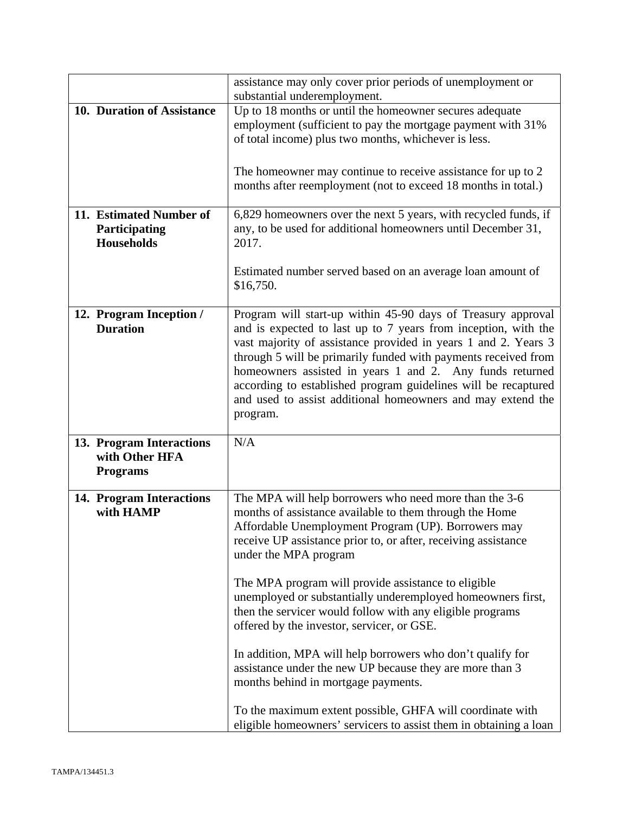|                                            | assistance may only cover prior periods of unemployment or<br>substantial underemployment.                                     |
|--------------------------------------------|--------------------------------------------------------------------------------------------------------------------------------|
| 10. Duration of Assistance                 | Up to 18 months or until the homeowner secures adequate                                                                        |
|                                            | employment (sufficient to pay the mortgage payment with 31%                                                                    |
|                                            | of total income) plus two months, whichever is less.                                                                           |
|                                            |                                                                                                                                |
|                                            | The homeowner may continue to receive assistance for up to 2                                                                   |
|                                            | months after reemployment (not to exceed 18 months in total.)                                                                  |
|                                            |                                                                                                                                |
| 11. Estimated Number of                    | 6,829 homeowners over the next 5 years, with recycled funds, if                                                                |
| Participating<br><b>Households</b>         | any, to be used for additional homeowners until December 31,<br>2017.                                                          |
|                                            |                                                                                                                                |
|                                            | Estimated number served based on an average loan amount of                                                                     |
|                                            | \$16,750.                                                                                                                      |
|                                            |                                                                                                                                |
| 12. Program Inception /<br><b>Duration</b> | Program will start-up within 45-90 days of Treasury approval<br>and is expected to last up to 7 years from inception, with the |
|                                            | vast majority of assistance provided in years 1 and 2. Years 3                                                                 |
|                                            | through 5 will be primarily funded with payments received from                                                                 |
|                                            | homeowners assisted in years 1 and 2. Any funds returned                                                                       |
|                                            | according to established program guidelines will be recaptured                                                                 |
|                                            | and used to assist additional homeowners and may extend the                                                                    |
|                                            | program.                                                                                                                       |
| 13. Program Interactions                   | N/A                                                                                                                            |
| with Other HFA                             |                                                                                                                                |
| <b>Programs</b>                            |                                                                                                                                |
| 14. Program Interactions                   | The MPA will help borrowers who need more than the 3-6                                                                         |
| with HAMP                                  | months of assistance available to them through the Home                                                                        |
|                                            | Affordable Unemployment Program (UP). Borrowers may                                                                            |
|                                            | receive UP assistance prior to, or after, receiving assistance                                                                 |
|                                            | under the MPA program                                                                                                          |
|                                            |                                                                                                                                |
|                                            | The MPA program will provide assistance to eligible<br>unemployed or substantially underemployed homeowners first,             |
|                                            | then the servicer would follow with any eligible programs                                                                      |
|                                            | offered by the investor, servicer, or GSE.                                                                                     |
|                                            |                                                                                                                                |
|                                            | In addition, MPA will help borrowers who don't qualify for                                                                     |
|                                            | assistance under the new UP because they are more than 3<br>months behind in mortgage payments.                                |
|                                            |                                                                                                                                |
|                                            | To the maximum extent possible, GHFA will coordinate with                                                                      |
|                                            | eligible homeowners' servicers to assist them in obtaining a loan                                                              |